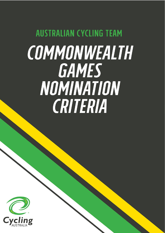# **AUSTRALIAN CYCLING TEAM** COMMONWEALTH GAMES NOMINATION CRITERIA

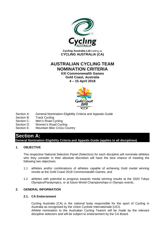

**Cycling Australia Ltd** trading as **CYCLING AUSTRALIA (CA)**

# **AUSTRALIAN CYCLING TEAM NOMINATION CRITERIA**

**XXI Commonwealth Games Gold Coast, Australia 4 – 15 April 2018**



- Section A: General Nomination Eligibility Criteria and Appeals Guide<br>Section B: Track Cycling
- **Track Cycling**
- Section C: Men's Road Cycling
- Section D: Women's Road Cycling
- Section E: Mountain Bike Cross Country

# **Section A:**

**General Nomination Eligibility Criteria and Appeals Guide (applies to all disciplines)**

# **1. OBJECTIVE**

The respective National Selection Panel (Selectors) for each discipline will nominate athletes who they consider in their absolute discretion will have the best chance of meeting the following two objectives:

- 1.1 athletes and/or combinations of athletes capable of achieving Gold medal winning results at the Gold Coast 2018 Commonwealth Games; and
- 1.2 athletes with potential to progress towards medal winning results at the 2020 Tokyo Olympics/Paralympics, or at future World Championships in Olympic events.

# **2. GENERAL INFORMATION**

# **2.1. CA Endorsement**

Cycling Australia (CA) is the national body responsible for the sport of Cycling in Australia as recognised by the Union Cycliste Internationale (UCI). Athlete nomination to the Australian Cycling Team/s will be made by the relevant discipline selectors and will be subject to endorsement by the CA Board.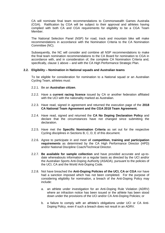CA will nominate final team recommendations to Commonwealth Games Australia (CGA). Ratification by CGA will be subject to their approval and athletes having complied with both CA and CGA requirements for eligibility to be a CGA Team Member.

The National Selection Panel (NSP) for road, track and mountain bike will make recommendations in accordance with the Nomination Criteria to the CA Nomination Committee (NC).

Subsequently, the NC will consider and combine all NSP recommendations to make the final team nomination recommendations to the CA Board for nomination to CGA in accordance with, and in consideration of, the complete CA Nomination Criteria and, specifically, clause 1 above – and with the CA High Performance Strategic Plan.

#### **2.2. Eligibility – Nomination in National squads and Australian teams**

To be eligible for consideration for nomination to a National squad or an Australian Cycling Team, athletes must:

- 2.2.1. Be an **Australian citizen**.
- 2.2.2. Have a **current racing licence** issued by CA or another federation affiliated with the UCI with the nationality marked as Australian.
- 2.2.3. Have read, signed in agreement and returned the execution page of the **2018 CA National Team Agreement and the CGA 2018 Team Agreement.**
- 2.2.4. Have read, signed and returned the **CA No Doping Declaration Policy** and declare that the circumstances have not changed since submitting the declaration.
- 2.2.5. Have met the **Specific Nomination Criteria** as set out for the respective Cycling disciplines in Sections B, C, D, E of this document.
- 2.2.6. Agree to participate in and meet all **competition, training and participation requirements** as determined by the CA High Performance Director (HPD) and/or National Discipline Coach/Technical Director.
- 2.2.7. **Be available for sample collection** and have provided accurate and up-todate whereabouts information on a regular basis as directed by the UCI and/or the Australian Sports Anti-Doping Authority (ASADA), pursuant to the policies of the UCI, CA and the World Anti-Doping Code.
- 2.2.8. Not have breached the **Anti-Doping Policies of the UCI, CA or CGA** nor have had a sanction imposed which has not been completed. For the purpose of considering eligibility for nomination, a breach of the Anti-Doping Policy may include:
	- a. an athlete under investigation for an Anti-Doping Rule Violation (ADRV) where an infraction notice has been issued or the athlete has been stood down under the provisions of the UCI and/or CA Anti-Doping Policies; or
	- b. a failure to comply with an athlete's obligations under UCI or CA Anti-Doping Policy, even if such a breach does not result in an ADRV.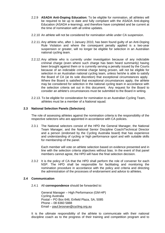- 2.2.9 **ASADA Anti-Doping Education:** To be eligible for nomination, all athletes will be required to be up to date and fully compliant with the ASADA Anti-doping Education (ASADA e-learning), and therefore have completed and be current at the time of nomination with all online updates.
- 2.2.10 An athlete will not be considered for nomination while under CA suspension.
- 2.2.11. Any athlete who, after 1 January 2010, has been found guilty of an Anti-Doping Rule Violation and where the consequent penalty applied is a two-year suspension or greater, will no longer be eligible for selection in an Australian national cycling team.
- 2.2.12. Any athlete who is currently under investigation because of any indictable criminal charge (even where such charge has been heard summarily) having been brought against them or is currently serving a penalty issued by the Courts because of an indictable criminal charge being proven, will not be eligible for selection in an Australian national cycling team, unless he/she is able to satisfy the Board of CA (at its sole discretion) that exceptional circumstances apply. Where the Board is satisfied that exceptional circumstances apply, the athlete may be considered for selection in the national cycling team in accordance with the selection criteria set out in this document. Any request for the Board to consider an athlete's circumstances must be submitted to the Board in writing.
- 2.2.13. To be eligible for consideration for nomination to an Australian Cycling Team, athletes must be a member of a National squad.

# **2.3 National Selection Panels (Selectors)**

The role of assessing athletes against the nomination criteria is the responsibility of the respective selectors who are appointed in accordance with CA policies.

2.3.1 The National selectors consist of the HPD the General Manager, the National Team Manager, and the National Senior Discipline Coach/Technical Director and a person (endorsed by the Cycling Australia board) that has experience and understanding of cycling or high performance sport and with suitable skills for membership of the panel.

Each member will vote on athlete selection based on evidence presented and in line with the selection criteria objectives without bias. In the event of that panel members cannot agree, the HPD will have the final selection decision.

2.3.2 It is the policy of CA that the HPD shall perform the role of convener for each NSP. The HPD shall be responsible for facilitating and monitoring the nomination procedure in accordance with the policy and criteria and directing the administration of the processes of endorsement and advice to athletes.

#### **2.4 Communication**

2.4.1 All **correspondence** should be forwarded to:

General Manager – High Performance (GM-HP) Cycling Australia Postal – PO Box 646, Enfield Plaza, SA, 5085 Phone – 08 8360 5888 Email – [paul.brosnan@cycling.org.au](mailto:paul.brosnan@cycling.org.au)

It is the ultimate responsibility of the athlete to communicate with their national discipline coach as to the progress of their training and competition program and to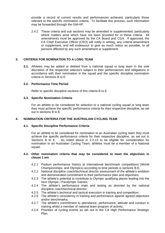provide a record of current results and performances achieved, particularly those relevant to the specific nomination criteria. To facilitate this process, such information may be forwarded through the GM-HP.

2.4.2 These criteria and sub sections may be amended or supplemented, particularly where matters arise which have not been provided for in these criteria. All amendments must be approved by the CA Board and CGA. If approved, the CA Chief Executive Officer (CEO) will notify in writing, any criteria amendment or supplement, and will endeavour to give as much notice as possible, to all persons affected by any such amendment or supplement.

# **3. CRITERIA FOR NOMINATION TO A LONG TEAM**

**3.1.** Athletes may be added or deleted from a national squad or long team in the sole discretion of the respective selectors subject to their performances and obligations in accordance with their nomination in the squad and the specific discipline nomination criteria in Sections B to E.

# **3.2. Performance Time Period**

Refer to specific discipline sections of this criteria B to E.

#### **3.3. Specific Nomination Criteria**

For an athlete to be considered for selection to a national cycling squad or long team they must achieve the specific performance criteria for their respective discipline, as set out in sections B to E.

# **4. NOMINATION CRITERIA FOR THE AUSTRALIAN CYCLING TEAM**

#### **4.1. Specific Discipline Performance Criteria**

For an athlete to be considered for nomination to an Australian cycling team they must achieve the specific performance criteria for their respective discipline, as set out in Sections B to E. As noted above in 2.2.13 to be eligible for consideration for nomination to an Australian Cycling Team, athletes must be a member of a National squad.

#### **4.2. Other nomination criteria that may be considered to meet the objectives in clause 1 are**

- 4.2.1 Podium performance history at international benchmark competitions (World Championships, and Olympics) according to time periods is sections B-E.
- 4.2.2 National discipline coach/technical director assessment of the athlete's ambition and demonstrated commitment to their performance plan and objectives;
- 4.2.3 The athlete's potential to contribute to Olympic qualifying places leading into the next Olympic / Paralympic Games;
- 4.2.4 The athlete's performance trials and testing as directed by the national discipline coach/technical director;
- 4.2.5 The athlete's technical and tactical execution in training and competition;
- 4.2.6 The athlete's consistency in training and performance against agreed objectives and/or benchmarks;
- 4.2.7 The athlete's commitment to attendance, performance, attitude and conduct in training whilst a member of national team program of activity;
- 4.2.8 Priorities of cycling events as set out in the CA High Performance Strategic Plan.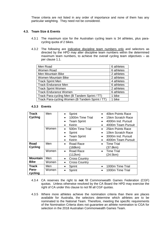These criteria are not listed in any order of importance and none of them has any particular weighting. They need not be considered.

#### **4.3. Team Size & Events**

- 4.3.1 The maximum size for the Australian cycling team is 34 athletes, plus paracycling quota of 2 bikes.
- 4.3.2 The following are indicative discipline team numbers only and selectors as directed by the HPD may alter discipline team numbers within the determined maximum team numbers, to achieve the overall cycling team objectives – as per clause 1.1.

| Men Road                                        | 6 athletes |
|-------------------------------------------------|------------|
| Women Road                                      | 6 athletes |
| Men Mountain Bike                               | 2 athletes |
| Women Mountain Bike                             | 2 athletes |
| <b>Track Sprint Men</b>                         | 4 athletes |
| <b>Track Endurance Men</b>                      | 6 athletes |
| <b>Track Sprint Women</b>                       | 2 athletes |
| <b>Track Endurance Women</b>                    | 6 athletes |
| Track Para-cycling Men (B Tandem Sprint / TT)   | 1 bike     |
| Track Para-cycling Women (B Tandem Sprint / TT) | 1 bike     |

#### **4.3.3 Events**

| <b>Track</b><br><b>Cycling</b> | Men<br>Sprint<br>$\bullet$<br>1000m Time Trial<br>$\bullet$<br><b>Team Sprint</b><br>$\bullet$<br>Keirin<br>$\bullet$ |                                                                                                               | 40km Points Race<br>15km Scratch Race<br>4000m Ind. Pursuit<br>4000m Team Pursuit<br>$\bullet$ |
|--------------------------------|-----------------------------------------------------------------------------------------------------------------------|---------------------------------------------------------------------------------------------------------------|------------------------------------------------------------------------------------------------|
|                                | Women                                                                                                                 | 500m Time Trial<br>$\bullet$<br>Sprint<br>$\bullet$<br><b>Team Sprint</b><br>$\bullet$<br>Keirin<br>$\bullet$ | 25km Points Race<br>10km Scratch Race<br>3000m Ind. Pursuit<br>4000m Team Pursuit<br>$\bullet$ |
| Road<br><b>Cycling</b>         | Men                                                                                                                   | Road Race<br>$\bullet$<br>(168km)                                                                             | <b>Time Trial</b><br>(37.8km)                                                                  |
|                                | Women                                                                                                                 | Road Race<br>(112km)                                                                                          | <b>Time Trial</b><br>(24.5km)                                                                  |
| <b>Mountain</b>                | Men                                                                                                                   | <b>Cross Country</b>                                                                                          |                                                                                                |
| <b>Bike</b>                    | Women                                                                                                                 | <b>Cross Country</b><br>$\bullet$                                                                             |                                                                                                |
| <b>Track</b>                   | Men                                                                                                                   | Sprint<br>$\bullet$                                                                                           | 1000m Time Trial<br>$\bullet$                                                                  |
| Para-<br>cycling               | Women                                                                                                                 | Sprint                                                                                                        | 1000m Time Trial                                                                               |

- 4.3.4 CA reserves the right to **not** fill Commonwealth Games Federation (CGF) quotas. Unless otherwise resolved by the CA Board the HPD may exercise the right of CA under this clause to not fill all CGF quotas.
- 4.3.5 Where more athletes achieve the nomination criteria than there are places available for Australia, the selectors determine which athletes are to be nominated to the National Team. Therefore, meeting the specific requirements of the Nomination Criteria does not guarantee an athlete nomination to CGA for selection in the 2018 Australian Commonwealth Games Team.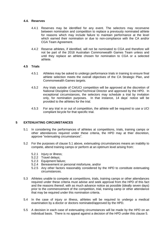#### **4.4. Reserves**

- 4.4.1 Reserves may be identified for any event. The selectors may reconvene between nomination and competition to replace a previously nominated athlete for reasons which may include failure to maintain performance at the level which earned their nomination or due to non-compliance with the CA and/or CGA Team Agreement.
- 4.4.2 Reserve athletes, if identified, will not be nominated to CGA and therefore will not be part of the 2018 Australian Commonwealth Games Team unless and until they replace an athlete chosen for nomination to CGA or a selected athlete.

# **4.5 Trials**

- 4.5.1 Athletes may be asked to undergo performance trials in training to ensure final athlete selection meets the overall objectives of the CA Strategic Plan, and Commonwealth Games targets.
- 4.5.2 Any trials outside of CA/UCI competition will be approved at the discretion of National Discipline Coaches/Technical Director and approved by the HPD. In exceptional circumstances, the selectors may schedule a trial by invitation only, for nomination purposes. In that instance, 14 days' notice will be provided to the athletes for the trial.
- 4.5.3 For any trial in or out of competition, the athlete will be required to use a UCI compliant bicycle for that specific trial.

# **5 EXTENUATING CIRCUMSTANCES**

- 5.1 In considering the performances of athletes at competitions, trials, training camps or other attendances required under these criteria, the HPD may at thier discretion, approve "extenuating circumstances".
- 5.2 For the purposes of clause 5.1 above, extenuating circumstances means an inability to compete, attend training camps or perform at an optimum level arising from:
	- 5.2.1 Injury or illness;
	- 5.2.2 Travel delays;
	- 5.2.3 Equipment failure;
	- 5.2.4 Bereavement or personal misfortune, and/or
	- 5.2.5 Any other factors reasonably considered by the HPD to constitute extenuating circumstances.
- 5.3 Athletes unable to compete at competitions, trials, training camps or other attendances required under these criteria must advise and seek approval from the HPD of this fact and the reasons thereof, with as much advance notice as possible (ideally seven days) prior to the commencement of the competition, trial, training camp or other attendance that may be required under this nomination criteria.
- 5.4 In the case of injury or illness, athletes will be required to undergo a medical examination by a doctor or doctors nominated/approved by the HPD.
- 5.5 A decision in each case of extenuating circumstances will be made by the HPD on an individual basis. There is no appeal against a decision of the HPD under this clause 5.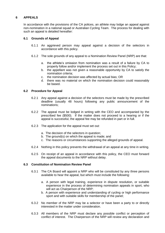# **6 APPEALS**

In accordance with the provisions of the CA polices, an athlete may lodge an appeal against non-nomination in a national squad or Australian Cycling Team. The process for dealing with such an appeal is detailed hereafter:

# **6.1 Grounds of Appeal**

- 6.1.1 An aggrieved person may appeal against a decision of the selectors in accordance with this policy.
- 6.1.2 The sole grounds of any appeal to a Nomination Review Panel (NRP) are that:
	- a. the athlete's omission from nomination was a result of a failure by CA to properly follow and/or implement the process set out in this Policy;
	- b. the appellant was not given a reasonable opportunity by CA to satisfy the nomination criteria;
	- c. the nomination decision was affected by actual bias; OR
	- d. there was no material on which the nomination decision could reasonably be based.

#### **6.2 Procedure for Appeal**

- 6.2.1 Any appeal against a decision of the selectors must be made by the prescribed deadline (usually 48 hours) following any public announcement of the nominations;
- 6.2.2 The appeal must be lodged in writing with the CEO and accompanied by the prescribed fee (\$500). If the matter does not proceed to a hearing or if the appeal is successful, the appeal fee may be refunded in part or in full.
- 6.2.3 The application for the appeal must set out*:*
	- a. The decision of the selectors in question;
	- b. The ground(s) on which the appeal is made; and
	- c. The reasons or circumstances supporting the alleged grounds of appeal.
- 6.2.4 Nothing in this policy prevents the withdrawal of an appeal at any time in writing.
- 6.2.5 On receipt of an appeal in accordance with this policy, the CEO must forward the appeal documents to the NRP without delay.

#### **6.3 Constitution of Nomination Review Panel**

- 6.3.1 The CA Board will appoint a NRP who will be constituted by any three persons available to hear the appeal, but which must include the following:
	- a. A person with legal training, experience in dispute resolution, or suitable experience in the process of determining nomination appeals in sport, who will act as Chairperson of the NRP;
	- b. A person with experience and understanding of cycling or high performance sport and with suitable skills for membership of the panel;
- 6.3.2 No member of the NRP may be a selector or have been a party to or directly interested in the matter under consideration.
- 6.3.3 All members of the NRP must declare any possible conflict or perception of conflict of interest. The Chairperson of the NRP will review any declaration and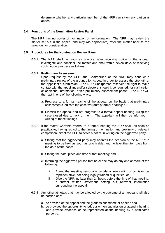determine whether any particular member of the NRP can sit on any particular appeal.

#### **6.4 Functions of the Nomination Review Panel**

The NRP has no power of nomination or re-nomination. The NRP may review the matter set out in the appeal and may (as appropriate) refer the matter back to the selectors for consideration.

#### **6.5. Procedures for the Nomination Review Panel**

6.5.1 The NRP shall, as soon as practical after receiving notice of the appeal, investigate and consider the matter and shall within seven days of receiving such notice, progress as follows:

#### 6.5.2 **Preliminary Assessment**:

Upon request by the CEO, the Chairperson of the NRP may conduct a preliminary review of the grounds for Appeal in order to assess the strength of the appellant's submission. The NRP Chairperson reserves the right to make contact with the appellant and/or selectors, should it be required, for clarification or additional information in this preliminary assessment phase. The NRP will then act in one of the following ways;

- a. Progress to a formal hearing of the appeal, on the basis that preliminary assessments indicate the case warrants a formal hearing; or
- b. Dismiss the appeal and not progress to a formal appeal hearing, ruling the case closed due to lack of merit. The appellant will then be informed in writing of these findings.
- 6.5.3 If the matter warrants referral to a formal hearing the NRP shall, as soon as practicable, having regard to the timing of nomination and proximity of relevant competition, direct the CEO to serve a notice in writing on the aggrieved party:
	- a. Stating that the aggrieved party may address the decision of the NRP at a meeting to be held as soon as practicable, and no later than ten days from the date of the notice;
	- b. Stating the date, place and time of that meeting; and
	- c. Informing the aggrieved person that he or she may do any one or more of the following:
		- i. Attend that meeting personally, by teleconference link or by his or her representative, not being legally trained or qualified; or
		- ii. Give the NRP, no later than 24 hours before the time of that meeting, a further written statement setting out relevant information surrounding the appeal.
- 6.5.4 Any other athlete/s that may be affected by the outcome of an appeal shall also be notified and;
	- a. be advised of the appeal and the grounds submitted for appeal; and
	- b. be provided the opportunity to lodge a written submission or attend a hearing and provide evidence or be represented at the hearing by a nominated person/s.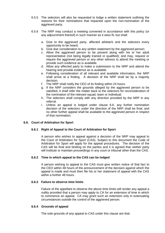- 6.5.5 The selectors will also be requested to lodge a written statement outlining the reasons for their nominations that impacted upon the non-nomination of the aggrieved party.
- 6.5.6 The NRP may conduct a meeting convened in accordance with this policy (or any adjournment thereof) in such manner as it sees fit, but shall:
	- a. Give to the aggrieved party, affected athlete/s and the selectors every opportunity to be heard;
	- b. Give due consideration to any written statement by the aggrieved person;
	- c. Allow the aggrieved person to be present along with his or her adult representative (not being legally trained or qualified); and may, request or require the aggrieved person or any other witness to attend the meeting or provide such evidence as is available.
	- d. Allow any affected party to make a submission to the NRP and attend the hearing and provide evidence as is available.
	- e. Following consideration of all relevant and available information, the NRP shall arrive at a finding. A decision of the NRP shall be by a majority decision.
	- f. The NRP shall notify the CEO of its finding within 24 hours.
	- g. If the NRP considers the grounds alleged by the aggrieved person to be satisfied, it shall refer the matter back to the selectors for reconsideration of the nomination of the relevant squad, team or individual.
	- h. The selectors shall comply with any direction provided by the NRP in any referral.
	- i. Unless an appeal is lodged under clause 6.6. any further nomination decision of the selectors under the direction of the NRP shall be final, and no other further appeal shall be available to the aggrieved person in respect of that nomination.

# **6.6. Court of Arbitration for Sport**

#### **6.6.1 Right of Appeal to the Court of Arbitration for Sport**

A person who wishes to appeal against a decision of the NRP may appeal to the Court of Arbitration for Sport (CAS). Subject to this document the Code of Arbitration for Sport will apply for the appeal procedures. The decision of the CAS will be final and binding on the parties and it is agreed that neither party will institute or maintain proceedings in any court or tribunal other than the CAS.

#### **6.6.2 Time in which appeal to the CAS can be lodged**

A person wishing to appeal to the CAS must give written notice of that fact to the CEO within 48 hours of the announcement of the decision against which the appeal is made and must then file his or her statement of appeal with the CAS within a further 48 hours.

#### **6.6.3 Failure to observe time limits**

Failure of the appellant to observe the above time limits will render any appeal a nullity provided that a person may apply to CA for an extension of time in which to commence an appeal. CA may grant such an extension only in extenuating circumstances outside the control of the aggrieved person.

#### **6.6.4 Grounds of appeal**

The sole grounds of any appeal to CAS under this clause are that: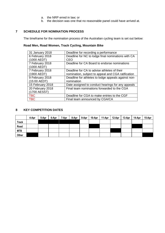- a. the NRP erred in law; or
- b. the decision was one that no reasonable panel could have arrived at.

# **7 SCHEDULE FOR NOMINATION PROCESS**

The timeframe for the nomination process of the Australian cycling team is set out below:

# **Road Men, Road Women, Track Cycling, Mountain Bike**

| 31 January 2018  | Deadline for recording a performance                |
|------------------|-----------------------------------------------------|
| 6 February 2018  | Deadline for NC to lodge final nominations with CA  |
| (1000 AEDT)      | CEO                                                 |
| 7 February 2018  | Deadline for CA Board to endorse nominations        |
| (1000 AEDT)      |                                                     |
| 7 February 2018  | Deadline for CA to advise athletes of their         |
| (1900 AEDT)      | nomination, subject to appeal and CGA ratification  |
| 9 February 2018  | Deadline for athletes to lodge appeals against non- |
| $(15:00$ AEDT)   | nomination                                          |
| 15 February 2018 | Date assigned to conduct hearings for any appeals   |
| 20 February 2018 | Final team nominations forwarded to the CGA         |
| (1700 AESST)     |                                                     |
| <b>TBC</b>       | Deadline for CGA to make entries to the CGF         |
| <b>TBC</b>       | Final team announced by CGA/CA                      |

# **8 KEY COMPETITION DATES**

|              | 4-Apr | 5-Apr | 6-Apr | 7-Apr | 8-Apr | 9-Apr | 10-Apr | $11-Apr$ | 12-Apr | 13-Apr | 14-Apr | 15-Apr |
|--------------|-------|-------|-------|-------|-------|-------|--------|----------|--------|--------|--------|--------|
| <b>Track</b> |       |       |       |       |       |       |        |          |        |        |        |        |
| Road         |       |       |       |       |       |       |        |          |        |        |        |        |
| <b>MTB</b>   |       |       |       |       |       |       |        |          |        |        |        |        |
| Other        |       |       |       |       |       |       |        |          |        |        |        |        |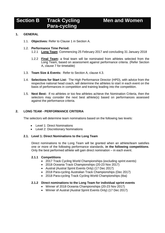# **Men and Women**

# **Section B Track Cycling Para-cycling**

# **1. GENERAL**

1.1. **Objectives:** Refer to Clause 1 in Section A.

# 1.2. **Performance Time Period:**

- 1.2.1 **Long Team**: Commencing 25 February 2017 and concluding 31 January 2018
- 1.2.2 **Final Team:** a final team will be nominated from athletes selected from the Long Team, based on assessment against performance criteria. (Refer Section A, clause 7 for timetable)
- 1.3. **Team Size & Events:** Refer to Section A, clause 4.3.
- 1.4. **Selections for Start List:** The High Performance Director (HPD), with advice from the respective national head coach, will determine the athletes to start in each event on the basis of performances in competition and training leading into the competition.
- 1.5. **Next Best:** If no athletes or too few athletes achieve the Nomination Criteria, then the selectors may consider the next best athlete(s) based on performances assessed against the performance criteria.

# **2. LONG TEAM - PERFORMANCE CRITERIA**

The selectors will determine team nominations based on the following two levels:

- Level 1: Direct Nominations
- Level 2: Discretionary Nominations

#### **2.1. Level 1: Direct Nominations to the Long Team**

Direct nominations to the Long Team will be granted when an athlete/team satisfies one or more of the following performance standards, **in the following competitions**. Only the best performed athlete will gain direct nomination – in each event.

# **2.1.1 Competitions**

- 2017 Track Cycling World Championships (excluding sprint events)
- 2018 Oceania Track Championships (20-23 Nov 2017)
- Austral (Austral Sprint Events Only) (17 Dec 2017)
- 2018 Para-cycling Australian Track Championships (Dec 2017)
- 2018 Para-cycling Track Cycling World Championships (tba)

# **2.1.2 Direct nominations to the Long Team for individual sprint events**

- Winner of 2018 Oceania Championships (20-23 Nov 2017)
- Winner of Austral (Austral Sprint Events Only) (17 Dec 2017)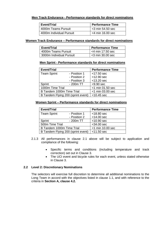# **Men Track Endurance - Performance standards for direct nominations**

| <b>Event/Trial</b>       | Performance Time    |
|--------------------------|---------------------|
| 4000m Teams Pursuit      | $<$ 3 min 54.50 sec |
| 4000m Individual Pursuit | $<$ 4 min 16.00 sec |

# **Women Track Endurance – Performance standards for direct nominations**

| Event/Trial              | <b>Performance Time</b> |  |
|--------------------------|-------------------------|--|
| 4000m Teams Pursuit      | $<$ 4 min 17.50 sec     |  |
| 3000m Individual Pursuit | $<$ 3 min 30.00 sec     |  |

# **Men Sprint - Performance standards for direct nominations**

| <b>Event/Trial</b>                 |              | <b>Performance Time</b> |
|------------------------------------|--------------|-------------------------|
| <b>Team Sprint</b>                 | - Position 1 | $<$ 17.50 sec           |
|                                    | - Position 2 | $<$ 12.90 sec           |
|                                    | - Position 3 | $<$ 13.20 sec           |
| Sprint                             | $-200m$ TT   | $<$ 9.90 sec            |
| 1000m Time Trial                   |              | <1 min 01.50 sec        |
| B Tandem 1000m Time Trial          |              | <1 min 03.00 sec        |
| B Tandem Flying 200 (sprint event) |              | $<$ 10.45 sec           |

# **Women Sprint – Performance standards for direct nominations**

| <b>Event/Trial</b>                 |                     | <b>Performance Time</b> |
|------------------------------------|---------------------|-------------------------|
| <b>Team Sprint</b>                 | - Position 1        | $<$ 18.80 sec           |
|                                    | - Position 2        | $<$ 14.00 sec           |
| Sprint                             | $-200m$ TT          | $<$ 10.90 sec           |
| 500m Time Trial                    | $<$ 34.00 sec       |                         |
| B Tandem 1000m Time Trial          | $<$ 1 min 10.00 sec |                         |
| B Tandem Flying 200 (sprint event) | $<$ 11.50 sec       |                         |

- 2.1.3 All performances in clause 2.1 above will be subject to application and compliance of the following:
	- Specific terms and conditions (including temperature and track correction) set out in Clause 3.
	- The UCI event and bicycle rules for each event, unless stated otherwise in Clause 3.

# **2.2 Level 2: Discretionary Nominations**

The selectors will exercise full discretion to determine all additional nominations to the Long Team in accord with the objectives listed in clause 1.1, and with reference to the criteria in **Section A, clause 4.2.**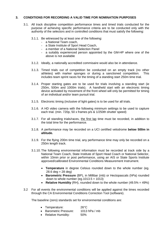# **3. CONDITIONS FOR RECORDING A VALID TIME FOR NOMINATION PURPOSES**

- 3.1. All track discipline competition performance times and timed trials conducted for the purpose of achieving specific performance criteria are to be conducted only with the authority of the selectors and in controlled conditions that must satisfy the following:
	- 3.1.1. Be witnessed by at least one of the following:
		- a National Team coach,
		- a State Institute of Sport Head Coach,
		- a member of a National Selection Panel
		- a suitably experienced person appointed by the GM-HP where one of the above is not available
	- 3.1.2. Ideally, a nationally accredited commisaire would also be in attendance.
	- 3.1.3. Timed trials out of competition be conducted on an empty track (no other athletes) with marker sponges or during a sanctioned competition. This includes team sprint races for the timing of a standing start 250m time trial.
	- 3.1.4. Proper starting gates are to be used for trials involving a standing start (ie 250m, 500m and 1000m trials). A handheld start with an electronic timing device activated by movement of the front wheel will only be permitted for timing of an individual and/or team pursuit trial.
	- 3.1.5. Electronic timing (inclusive of light gates) is to be used for all trials.
	- 3.1.6. A HD video camera with the following minimum settings to be used to capture each trial. (min. 720p, 50 x frames p/s & 1/250th shutter speed)
	- 3.1.7. For all standing trials/races, the first lap time must be recorded, in addition to the total time for the performance.
	- 3.1.8. A performance may be recorded on a UCI certified velodrome **below 500m in altitude.**
	- 3.1.9. For the flying 200m time trial, any performance time may only be recorded on a 250m length track.
	- 3.1.10. The following environmental information must be recorded at track side by a National Team Coach, State Institute of Sport Head Coach or National Selector, within 10min prior or post performance, using an AIS or State Sports Institute approved/calibrated Environmental Conditions Measurement Instrument.
		- **Temperature** in degree Celsius rounded down to the whole number (eg.  $28.6 \text{ deg} = 28 \text{ deg}$
		- **Barometric Pressure** (BP), in Millibar (mb) or Hectopascals (hPa) rounded down to whole number (eg.  $1013.5 = 1013$ )
		- **Relative Humidity** (RH), rounded down to the whole number (49.5% = 49%)
- 3.2 For all events the environmental conditions will be applied against the times recorded through the CA Environmental Conditions Correction Tool (software).

The baseline (zero) standards set for environmental conditions are:

| • Temperature:         | $26^{\circ}$ C  |
|------------------------|-----------------|
| • Barometric Pressure: | 1013 hPa $/$ mb |
|                        |                 |

• Relative Humidity: 50%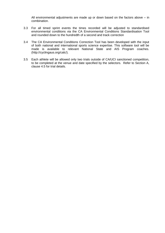All environmental adjustments are made up or down based on the factors above – in combination.

- 3.3 For all timed sprint events the times recorded will be adjusted to standardised environmental conditions via the CA Environmental Conditions Standardisation Tool and rounded down to the hundredth of a second and track correction
- 3.4 The CA Environmental Conditions Correction Tool has been developed with the input of both national and international sports science expertise. This software tool will be made is available to relevant National State and AIS Program coaches. (http://cyclingaus.org/calc/).
- 3.5 Each athlete will be allowed only two trials outside of CA/UCI sanctioned competition, to be completed at the venue and date specified by the selectors. Refer to Section A, clause 4.5 for trial details.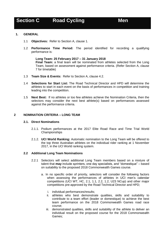# **Section C Road Cycling Men**

# **1. GENERAL**

- 1.1 **Objectives:** Refer to Section A, clause 1.
- 1.2 **Performance Time Period:** The period identified for recording a qualifying performance is:

#### **Long Team: 25 February 2017 – 31 January 2018**

**Final Team:** a final team will be nominated from athletes selected from the Long Team, based on assessment against performance criteria. (Refer Section A, clause 7 for timetable)

- 1.3 **Team Size & Events:** Refer to Section A, clause 4.2.
- 1.4 **Selections for Start List:** The Road Technical Director and HPD will determine the athletes to start in each event on the basis of performances in competition and training leading into the competition.
- 1.5 **Next Best:** If no athletes or too few athletes achieve the Nomination Criteria, then the selectors may consider the next best athlete(s) based on performances assessed against the performance criteria.

#### **2 NOMINATION CRITERIA – LONG TEAM**

#### **2.1. Direct Nominations**

- 2.1.1. Podium performances at the 2017 Elite Road Race and Time Trial World Championships
- 2.1.2. **UCI World Ranking:** Automatic nomination to the Long Team will be offered to the top three Australian athletes on the individual rider ranking at 1 November 2017, in the UCI World ranking system.

# **2.2 Additional Long Team Nominations**

- 2.2.1 Selectors will select additional Long Team members based on a mixture of talent that **may** include sprinters, one day specialists, and "domestique" – based on suitability to the proposed 2018 Commonwealth Games course.
	- a. In no specific order of priority, selectors will consider the following factors when assessing the performances of athletes in UCI men's calendar competitions (UCI WT, HC, 2.1, 1.1, 2.2, 1.2, U23 NCup) and other major competitions pre-approved by the Road Technical Director and HPD;
		- i. individual performances/results;
		- ii. athletes who best demonstrate qualities, skills and suitability to contribute to a team effort (leader or domestique) to achieve the best team performance on the 2018 Commonwealth Games road race course;
		- iii. demonstrated qualities, skills and suitability of the athlete to deliver an individual result on the proposed course for the 2018 Commonwealth Games;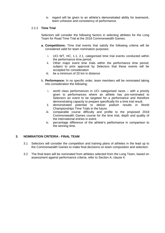iv. regard will be given to an athlete's demonstrated ability for teamwork, team cohesion and consistency of performance.

## 2.2.2 **Time Trial**

Selectors will consider the following factors in selecting athletes for the Long Team for Road Time Trial at the 2018 Commonwealth Games.

- **a. Competitions:** Time trial events that satisfy the following criteria will be considered valid for team nomination purposes:
	- i. UCI WT, HC, 1.1, 2.1, categorised time trial events conducted within the performance time period.
	- ii. Other major event time trials within the performance time period, subject to prior approval by Selectors that these events will be accepted for consideration
	- iii. be a minimum of 20 km in distance
- b. **Performance:** In no specific order, team members will be nominated taking into consideration the following:
	- i. world class performances in UCI categorised races with a priority given to performances where an athlete has pre-nominated to Selectors an event to be targeted for a performance and therefore demonstrating capacity to prepare specifically for a time trial result.
	- ii. demonstrated potential to deliver podium results in World Championships Time Trials in the future.
	- iii. comparable course difficulty and profile to the proposed 2018 Commonwealth Games course for the time trial, depth and quality of the international entries in event.
	- iv. percentage difference of the athlete's performance in comparison to the winning time.

# **3. NOMINATION CRITERIA - FINAL TEAM**

- 3.1 Selectors will consider the competition and training plans of athletes in the lead up to the Commonwealth Games to make final decisions on team composition and selection.
- 3.2 The final team will be nominated from athletes selected from the Long Team, based on assessment against performance criteria, refer to Section A, clause 4.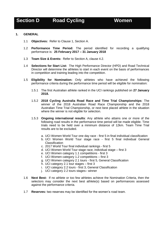# **Section D Road Cycling <b>Women**

#### **1. GENERAL**

- 1.1 **Objectives:** Refer to Clause 1, Section A.
- 1.2 **Performance Time Period:** The period identified for recording a qualifying performance is: **25 February 2017 – 31 January 2018**
- 1.3 **Team Size & Events:** Refer to Section A, clause 4.2.
- 1.4 **Selections for Start List:** The High Performance Director (HPD) and Road Technical Director will determine the athletes to start in each event on the basis of performances in competition and training leading into the competition.
- 1.5 **Eligibility for Nomination:** Only athletes who have achieved the following performance criteria during the performance time period will be eligible for nomination:
	- 1.5.1 The first Australian athlete ranked in the UCI rankings published on **27 January 2018.**
	- 1.5.2 **2018 Cycling Australia Road Race and Time Trial Championships**: The winner of the 2018 Australian Road Race Championship and the 2018 Australian Time Trial Championship, or next best placed athlete in the situation where the winner is not eligible for selection.
	- 1.5.3 **Ongoing international results**: Any athlete who attains one or more of the following road results in the performance time period will be made eligible. Time trials need to be held over a minimum distance of 12km. Team Time Trial results are to be excluded.
		- a. UCI Women World Tour one day race first 5 in final individual classification
		- b. UCI Women World Tour stage race first 5 final individual General **Classification**
		- c. 2017 World Tour final individual rankings first 5
		- d. UCI Women World Tour stage race, individual stage first 3
		- e. UCI Women category 1.1 competitions first 3
		- f. UCI Women category 1.2 competitions first 3
		- g. UCI Women category 2.1 tours first 5, General Classification
		- h. UCI category 2.1 tour stages first 3
		- i. UCI category 2.2 tours first 3, General Classification
		- j. UCI category 2.2 tours stages– winner
- 1.6 **Next Best:** If no athlete or too few athletes achieve the Nomination Criteria, then the selectors may consider the next best athlete(s) based on performances assessed against the performance criteria.
- 1.7 **Reserves:** two reserves may be identified for the women's road team.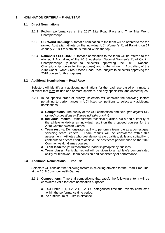# **2. NOMINATION CRITERIA – FINAL TEAM**

#### **2.1 Direct Nominations**

- 2.1.2 Podium performances at the 2017 Elite Road Race and Time Trial World Championships
- 2.1.3 **UCI World Ranking***:* Automatic nomination to the team will be offered to the top ranked Australian athlete on the individual UCI Women's Road Ranking on 27 January 2018 if this athlete is ranked within the top 8.
- 2.1.4 **Nationals / CEGORR:** Automatic nomination to the team will be offered to the winner, if Australian, of the 2018 Australian National Women's Road Cycling Championships (subject to selectors approving the 2018 National Championship course for this purpose) and to the winner, if Australian, of the 2018 Cadel Evans' Great Ocean Road Race (subject to selectors approving the 2018 course for this purpose).

# **2.2 Additional Nominations – Road Race**

Selectors will identify any additional nominations for the road race based on a mixture of talent that may include one or more sprinters, one-day specialists, and domestiques.

- 2.2.1 In no specific order of priority, selectors will consider the following factors pertaining to performances in UCI listed competitions to select any additional nominations;
	- a. **Competitions**: The quality of the UCI competition and field. *(the highest UCI ranked competitions in Europe will take priority)*
	- b. **Individual results**: Demonstrated technical qualities, skills and suitability of the athlete to deliver an individual result on the proposed courses for the 2018 Commonwealth Games.
	- c. **Team results:** Demonstrated ability to perform a team role as a domestique, servicing team leaders. Team results will be considered within this assessment. Athletes who best demonstrate qualities, skills and suitability to contribute to a team effort to achieve the best team performance on the 2018 Commonwealth Games course.
	- d. **Team leadership**: Demonstrated leadership/captaincy qualities.
	- e. **Team player**: Particular regard will be given to an athlete's demonstrated ability for teamwork, team cohesion and consistency of performance.

# **2.3 Additional Nominations – Time Trial**

Selectors will consider the following factors in selecting athletes for the Road Time Trial at the 2018 Commonwealth Games.

- 2.3.1 **Competitions:** Time trial competitions that satisfy the following criteria will be considered valid for team nomination purposes:
	- a. UCI Listed 1.1, 1.2, 2.1, 2.2, CC categorised time trial events conducted within the performance time period.
	- b. be a minimum of 12km in distance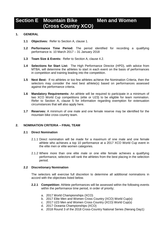# **Section E Mountain Bike (Cross Country XCO) Men and Women**

# **1. GENERAL**

- **1.1 Objectives:** Refer to Section A, clause 1.
- **1.2 Performance Time Period:** The period identified for recording a qualifying performance is: 10 March 2017 – 31 January 2018
- **1.3 Team Size & Events:** Refer to Section A, clause 4.2.
- **1.4 Selections for Start List:** The High Performance Director (HPD), with advice from MTBA, will determine the athletes to start in each event on the basis of performances in competition and training leading into the competition.
- **1.5 Next Best:** If no athletes or too few athletes achieve the Nomination Criteria, then the selectors may consider the next best athlete(s) based on performances assessed against the performance criteria.
- **1.6 Mandatory Requirements:** An athlete will be required to participate in a minimum of two XCO World Cup competitions (elite or U23) to be eligible for team nomination. Refer to Section A, clause 5 for information regarding exemption for extenuation circumstances that will also apply here.
- **1.7 Reserves:** A minimum of one male and one female reserve may be identified for the mountain bike cross country team.

# **2. NOMINATION CRITERIA – FINAL TEAM**

#### **2.1 Direct Nomination**

- 2.1.1 Direct nomination will be made for a maximum of one male and one female athlete who achieves a top 10 performance at a 2017 XCO World Cup event in the elite men or elite women categories.
- 2.1.2 Where more than one elite male or one elite female achieves a qualifying performance, selectors will rank the athletes from the best placing in the selection period.

#### **2.2 Discretionary Nomination**

The selectors will exercise full discretion to determine all additional nominations in accord with the objectives listed below.

- **2.2.1 Competition:** Athlete performances will be assessed within the following events within the performance time period, in order of priority;
	- a. 2017 World Championships (XCO)
	- b. 2017 Elite Men and Women Cross Country (XCO) World Cup(s)
	- c. 2017 U23 Men and Women Cross Country (XCO) World Cup(s)
	- d. 2017 Oceania Championships (XCO)
	- e. 2018 Round 3 of the 2018 Cross-Country National Series (Nerang Day1)